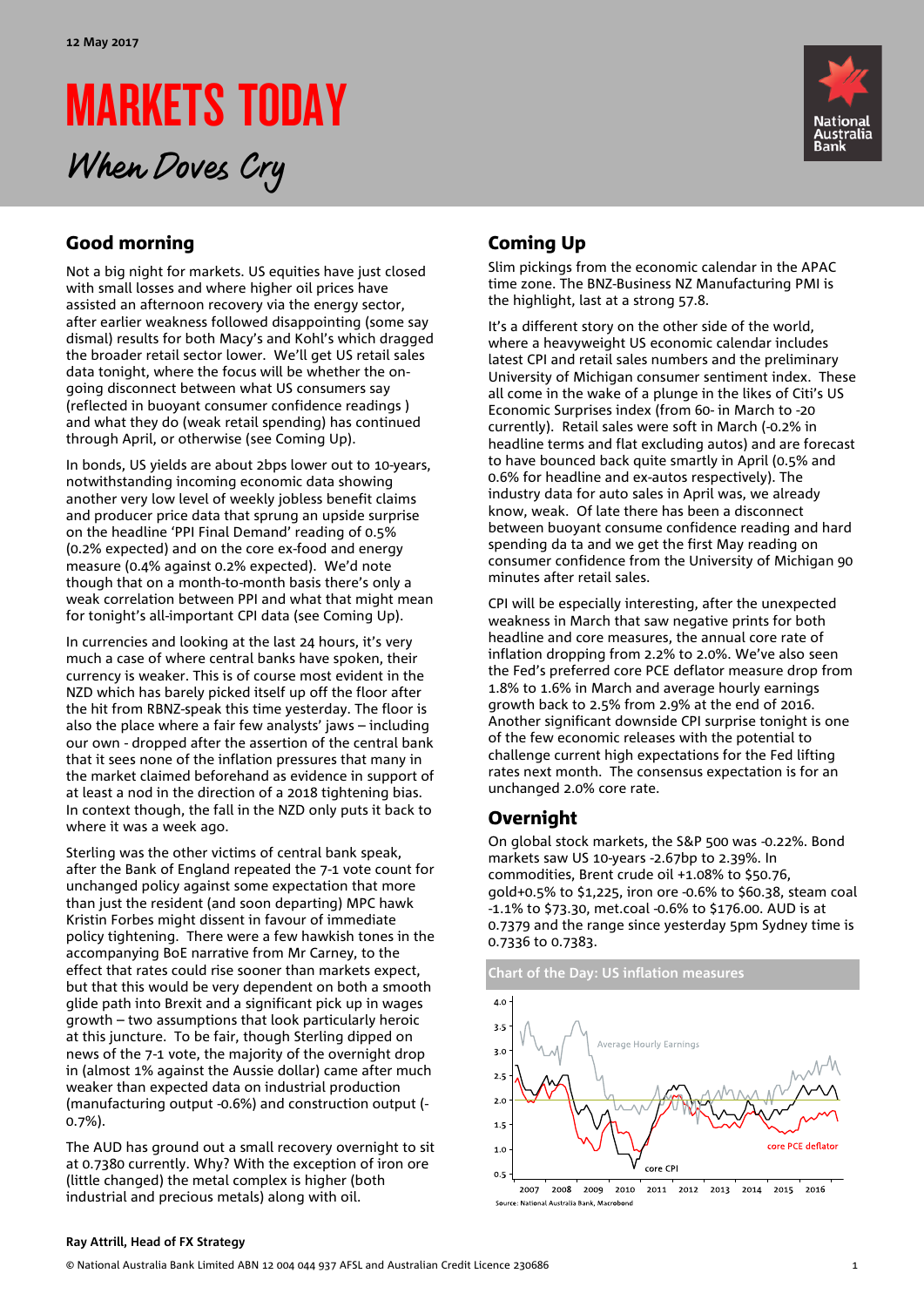# MARKETS TODAY When Doves Cry



# Good morning

Not a big night for markets. US equities have just closed with small losses and where higher oil prices have assisted an afternoon recovery via the energy sector, after earlier weakness followed disappointing (some say dismal) results for both Macy's and Kohl's which dragged the broader retail sector lower. We'll get US retail sales data tonight, where the focus will be whether the ongoing disconnect between what US consumers say (reflected in buoyant consumer confidence readings ) and what they do (weak retail spending) has continued through April, or otherwise (see Coming Up).

In bonds, US yields are about 2bps lower out to 10-years, notwithstanding incoming economic data showing another very low level of weekly jobless benefit claims and producer price data that sprung an upside surprise on the headline 'PPI Final Demand' reading of 0.5% (0.2% expected) and on the core ex-food and energy measure (0.4% against 0.2% expected). We'd note though that on a month-to-month basis there's only a weak correlation between PPI and what that might mean for tonight's all-important CPI data (see Coming Up).

In currencies and looking at the last 24 hours, it's very much a case of where central banks have spoken, their currency is weaker. This is of course most evident in the NZD which has barely picked itself up off the floor after the hit from RBNZ-speak this time yesterday. The floor is also the place where a fair few analysts' jaws – including our own - dropped after the assertion of the central bank that it sees none of the inflation pressures that many in the market claimed beforehand as evidence in support of at least a nod in the direction of a 2018 tightening bias. In context though, the fall in the NZD only puts it back to where it was a week ago.

Sterling was the other victims of central bank speak, after the Bank of England repeated the 7-1 vote count for unchanged policy against some expectation that more than just the resident (and soon departing) MPC hawk Kristin Forbes might dissent in favour of immediate policy tightening. There were a few hawkish tones in the accompanying BoE narrative from Mr Carney, to the effect that rates could rise sooner than markets expect, but that this would be very dependent on both a smooth glide path into Brexit and a significant pick up in wages growth – two assumptions that look particularly heroic at this juncture. To be fair, though Sterling dipped on news of the 7-1 vote, the majority of the overnight drop in (almost 1% against the Aussie dollar) came after much weaker than expected data on industrial production (manufacturing output -0.6%) and construction output (- 0.7%).

The AUD has ground out a small recovery overnight to sit at 0.7380 currently. Why? With the exception of iron ore (little changed) the metal complex is higher (both industrial and precious metals) along with oil.

# Coming Up

Slim pickings from the economic calendar in the APAC time zone. The BNZ-Business NZ Manufacturing PMI is the highlight, last at a strong 57.8.

It's a different story on the other side of the world, where a heavyweight US economic calendar includes latest CPI and retail sales numbers and the preliminary University of Michigan consumer sentiment index. These all come in the wake of a plunge in the likes of Citi's US Economic Surprises index (from 60- in March to -20 currently). Retail sales were soft in March (-0.2% in headline terms and flat excluding autos) and are forecast to have bounced back quite smartly in April (0.5% and 0.6% for headline and ex-autos respectively). The industry data for auto sales in April was, we already know, weak. Of late there has been a disconnect between buoyant consume confidence reading and hard spending da ta and we get the first May reading on consumer confidence from the University of Michigan 90 minutes after retail sales.

CPI will be especially interesting, after the unexpected weakness in March that saw negative prints for both headline and core measures, the annual core rate of inflation dropping from 2.2% to 2.0%. We've also seen the Fed's preferred core PCE deflator measure drop from 1.8% to 1.6% in March and average hourly earnings growth back to 2.5% from 2.9% at the end of 2016. Another significant downside CPI surprise tonight is one of the few economic releases with the potential to challenge current high expectations for the Fed lifting rates next month. The consensus expectation is for an unchanged 2.0% core rate.

## Overnight

On global stock markets, the S&P 500 was -0.22%. Bond markets saw US 10-years -2.67bp to 2.39%. In commodities, Brent crude oil +1.08% to \$50.76, gold+0.5% to \$1,225, iron ore -0.6% to \$60.38, steam coal -1.1% to \$73.30, met.coal -0.6% to \$176.00. AUD is at 0.7379 and the range since yesterday 5pm Sydney time is 0.7336 to 0.7383.





### **Ray Attrill, Head of FX Strategy**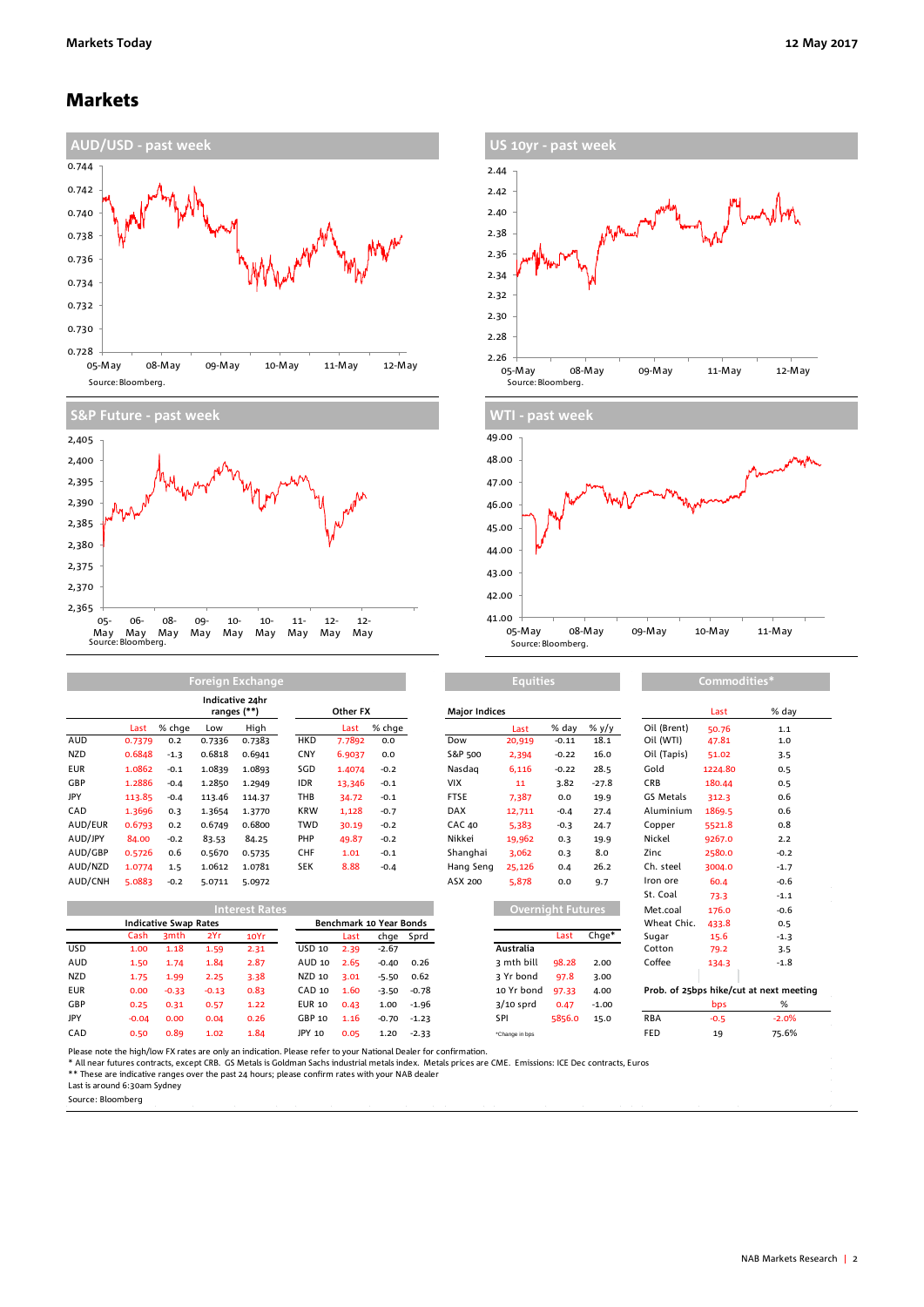### Markets









|            | Indicative 24hr<br>ranges (**) |        |        |        | Other FX   |        | <b>Major Indices</b> |               |        |         | Last    | % da        |         |        |
|------------|--------------------------------|--------|--------|--------|------------|--------|----------------------|---------------|--------|---------|---------|-------------|---------|--------|
|            | Last                           | % chae | Low    | High   |            | Last   | % chge               |               | Last   | % day   | % y/y   | Oil (Brent) | 50.76   | 1.1    |
| <b>AUD</b> | 0.7379                         | 0.2    | 0.7336 | 0.7383 | <b>HKD</b> | 7.7892 | 0.0                  | Dow           | 20,919 | $-0.11$ | 18.1    | Oil (WTI)   | 47.81   | 1.0    |
| <b>NZD</b> | 0.6848                         | $-1.3$ | 0.6818 | 0.6941 | <b>CNY</b> | 6.9037 | 0.0                  | S&P 500       | 2,394  | $-0.22$ | 16.0    | Oil (Tapis) | 51.02   | 3.5    |
| <b>EUR</b> | 1.0862                         | $-0.1$ | 1.0839 | 1.0893 | SGD        | 1.4074 | $-0.2$               | Nasdag        | 6,116  | $-0.22$ | 28.5    | Gold        | 1224.80 | 0.5    |
| GBP        | 1.2886                         | $-0.4$ | 1.2850 | 1.2949 | <b>IDR</b> | 13,346 | $-0.1$               | VIX           | 11     | 3.82    | $-27.8$ | <b>CRB</b>  | 180.44  | 0.5    |
| JPY        | 113.85                         | $-0.4$ | 113.46 | 114.37 | THB        | 34.72  | $-0.1$               | <b>FTSE</b>   | 7,387  | 0.0     | 19.9    | GS Metals   | 312.3   | 0.6    |
| CAD        | 1.3696                         | 0.3    | 1.3654 | 1.3770 | <b>KRW</b> | 1,128  | $-0.7$               | <b>DAX</b>    | 12,711 | $-0.4$  | 27.4    | Aluminium   | 1869.5  | 0.6    |
| AUD/EUR    | 0.6793                         | 0.2    | 0.6749 | 0.6800 | TWD        | 30.19  | $-0.2$               | <b>CAC 40</b> | 5,383  | $-0.3$  | 24.7    | Copper      | 5521.8  | 0.8    |
| AUD/JPY    | 84.00                          | $-0.2$ | 83.53  | 84.25  | PHP        | 49.87  | $-0.2$               | Nikkei        | 19,962 | 0.3     | 19.9    | Nickel      | 9267.0  | 2.2    |
| AUD/GBP    | 0.5726                         | 0.6    | 0.5670 | 0.5735 | <b>CHF</b> | 1.01   | $-0.1$               | Shanghai      | 3.062  | 0.3     | 8.0     | Zinc        | 2580.0  | $-0.2$ |
| AUD/NZD    | 1.0774                         | 1.5    | 1.0612 | 1.0781 | <b>SEK</b> | 8.88   | $-0.4$               | Hang Seng     | 25,126 | 0.4     | 26.2    | Ch. steel   | 3004.0  | $-1.7$ |
| AUD/CNH    | 5.0883                         | $-0.2$ | 5.0711 | 5.0972 |            |        |                      | ASX 200       | 5,878  | 0.0     | 9.7     | Iron ore    | 60.4    | $-0.6$ |

**Foreign Exchange**

|            |                              |         |         | Interest Rates |        |                         |         |           |                | Overnight Futures, |         |            | 176.0      | $-0.6$                                  |
|------------|------------------------------|---------|---------|----------------|--------|-------------------------|---------|-----------|----------------|--------------------|---------|------------|------------|-----------------------------------------|
|            | <b>Indicative Swap Rates</b> |         |         |                |        | Benchmark 10 Year Bonds |         |           |                |                    |         |            | 433.8      | 0.5                                     |
|            | Cash                         | 3mth    | 2Yr     | 10Yr           |        | Last                    |         | chge Sprd |                | Last               | Chge*   | Sugar      | 15.6       | $-1.3$                                  |
| <b>USD</b> | 1.00                         | 1.18    | 1.59    | 2.31           | USD 10 | 2.39                    | $-2.67$ |           | Australia      |                    |         | Cotton     | 79.2       | 3.5                                     |
| <b>AUD</b> | 1.50                         | 1.74    | 1.84    | 2.87           | AUD 10 | 2.65                    | $-0.40$ | 0.26      | 3 mth bill     | 98.28              | 2.00    | Coffee     | 134.3      | $-1.8$                                  |
| <b>NZD</b> | 1.75                         | 1.99    | 2.25    | 3.38           | NZD 10 | 3.01                    | $-5.50$ | 0.62      | 3 Yr bond      | 97.8               | 3.00    |            |            |                                         |
| <b>EUR</b> | 0.00                         | $-0.33$ | $-0.13$ | 0.83           | CAD 10 | 1.60                    | $-3.50$ | $-0.78$   | 10 Yr bond     | 97.33              | 4.00    |            |            | Prob. of 25bps hike/cut at next meeting |
| GBP        | 0.25                         | 0.31    | 0.57    | 1.22           | EUR 10 | 0.43                    | 1.00    | $-1.96$   | $3/10$ sprd    | 0.47               | $-1.00$ |            | <b>bps</b> | %                                       |
| JPY        | $-0.04$                      | 0.00    | 0.04    | 0.26           | GBP 10 | 1.16                    | $-0.70$ | $-1.23$   | SPI            | 5856.0             | 15.0    | <b>RBA</b> | $-0.5$     | $-2.0%$                                 |
| CAD        | 0.50                         | 0.89    | 1.02    | 1.84           | JPY 10 | 0.05                    | 1.20    | $-2.33$   | *Change in bps |                    |         | <b>FED</b> | 19         | 75.6%                                   |

| (**)<br>ranges        |                              |         | Other FX                                                                                                                                                                                                                                                                                                                                                                                                        |               |        |                                | <b>Major Indices</b> |                          |                |          |         | Last        | % day   |                                         |
|-----------------------|------------------------------|---------|-----------------------------------------------------------------------------------------------------------------------------------------------------------------------------------------------------------------------------------------------------------------------------------------------------------------------------------------------------------------------------------------------------------------|---------------|--------|--------------------------------|----------------------|--------------------------|----------------|----------|---------|-------------|---------|-----------------------------------------|
| Last                  | % chge                       | Low     | High                                                                                                                                                                                                                                                                                                                                                                                                            |               | Last   | % chge                         |                      |                          | Last           | % day    | % $y/y$ | Oil (Brent) | 50.76   | 1.1                                     |
| 0.7379                | 0.2                          | 0.7336  | 0.7383                                                                                                                                                                                                                                                                                                                                                                                                          | <b>HKD</b>    | 7.7892 | 0.0                            |                      | Dow                      | 20,919         | $-0.11$  | 18.1    | Oil (WTI)   | 47.81   | 1.0                                     |
| 0.6848                | $-1.3$                       | 0.6818  | 0.6941                                                                                                                                                                                                                                                                                                                                                                                                          | <b>CNY</b>    | 6.9037 | 0.0                            |                      | S&P 500                  | 2,394          | $-0.22$  | 16.0    | Oil (Tapis) | 51.02   | 3.5                                     |
| 1.0862                | $-0.1$                       | 1.0839  | 1.0893                                                                                                                                                                                                                                                                                                                                                                                                          | SGD           | 1.4074 | $-0.2$                         |                      | Nasdag                   | 6,116          | $-0.22$  | 28.5    | Gold        | 1224.80 | 0.5                                     |
| 1.2886                | $-0.4$                       | 1.2850  | 1.2949                                                                                                                                                                                                                                                                                                                                                                                                          | <b>IDR</b>    | 13,346 | $-0.1$                         |                      | <b>VIX</b>               | 11             | 3.82     | $-27.8$ | CRB         | 180.44  | 0.5                                     |
| 113.85                | $-0.4$                       | 113.46  | 114.37                                                                                                                                                                                                                                                                                                                                                                                                          | THB           | 34.72  | $-0.1$                         |                      | <b>FTSE</b>              | 7,387          | 0.0      | 19.9    | GS Metals   | 312.3   | 0.6                                     |
| 1.3696                | 0.3                          | 1.3654  | 1.3770                                                                                                                                                                                                                                                                                                                                                                                                          | <b>KRW</b>    | 1,128  | $-0.7$                         |                      | <b>DAX</b>               | 12,711         | $-0.4$   | 27.4    | Aluminium   | 1869.5  | 0.6                                     |
| 0.6793                | 0.2                          | 0.6749  | 0.6800                                                                                                                                                                                                                                                                                                                                                                                                          | <b>TWD</b>    | 30.19  | $-0.2$                         |                      | <b>CAC 40</b>            | 5,383          | $-0.3$   | 24.7    | Copper      | 5521.8  | 0.8                                     |
| 84.00                 | $-0.2$                       | 83.53   | 84.25                                                                                                                                                                                                                                                                                                                                                                                                           | PHP           | 49.87  | $-0.2$                         |                      | Nikkei                   | 19,962         | 0.3      | 19.9    | Nickel      | 9267.0  | 2.2                                     |
| 0.5726                | 0.6                          | 0.5670  | 0.5735                                                                                                                                                                                                                                                                                                                                                                                                          | <b>CHF</b>    | 1.01   | $-0.1$                         |                      | Shanghai                 | 3,062          | 0.3      | 8.0     | Zinc        | 2580.0  | $-0.2$                                  |
| 1.0774                | 1.5                          | 1.0612  | 1.0781                                                                                                                                                                                                                                                                                                                                                                                                          | <b>SEK</b>    | 8.88   | $-0.4$                         |                      | Hang Seng                | 25,126         | 0.4      | 26.2    | Ch. steel   | 3004.0  | $-1.7$                                  |
| 5.0883                | $-0.2$                       | 5.0711  | 5.0972                                                                                                                                                                                                                                                                                                                                                                                                          |               |        |                                |                      | ASX 200                  | 5,878          | 0.0      | 9.7     | Iron ore    | 60.4    | $-0.6$                                  |
|                       |                              |         |                                                                                                                                                                                                                                                                                                                                                                                                                 |               |        |                                |                      |                          |                |          |         | St. Coal    | 73.3    | $-1.1$                                  |
| <b>Interest Rates</b> |                              |         |                                                                                                                                                                                                                                                                                                                                                                                                                 |               |        |                                |                      | <b>Overnight Futures</b> |                | Met.coal | 176.0   | $-0.6$      |         |                                         |
|                       | <b>Indicative Swap Rates</b> |         |                                                                                                                                                                                                                                                                                                                                                                                                                 |               |        | <b>Benchmark 10 Year Bonds</b> |                      |                          |                |          |         | Wheat Chic. | 433.8   | 0.5                                     |
| Cash                  | 3 <sub>mth</sub>             | 2Yr     | 10Yr                                                                                                                                                                                                                                                                                                                                                                                                            |               | Last   | chge                           | Sprd                 |                          |                | Last     | $Chge*$ | Sugar       | 15.6    | $-1.3$                                  |
| 1.00                  | 1.18                         | 1.59    | 2.31                                                                                                                                                                                                                                                                                                                                                                                                            | <b>USD 10</b> | 2.39   | $-2.67$                        |                      |                          | Australia      |          |         | Cotton      | 79.2    | 3.5                                     |
| 1.50                  | 1.74                         | 1.84    | 2.87                                                                                                                                                                                                                                                                                                                                                                                                            | AUD 10        | 2.65   | $-0.40$                        | 0.26                 |                          | 3 mth bill     | 98.28    | 2.00    | Coffee      | 134.3   | $-1.8$                                  |
| 1.75                  | 1.99                         | 2.25    | 3.38                                                                                                                                                                                                                                                                                                                                                                                                            | <b>NZD 10</b> | 3.01   | $-5.50$                        | 0.62                 |                          | 3 Yr bond      | 97.8     | 3.00    |             |         |                                         |
| 0.00                  | $-0.33$                      | $-0.13$ | 0.83                                                                                                                                                                                                                                                                                                                                                                                                            | CAD 10        | 1.60   | $-3.50$                        | $-0.78$              |                          | 10 Yr bond     | 97.33    | 4.00    |             |         | Prob. of 25bps hike/cut at next meeting |
| 0.25                  | 0.31                         | 0.57    | 1.22                                                                                                                                                                                                                                                                                                                                                                                                            | <b>EUR 10</b> | 0.43   | 1.00                           | $-1.96$              |                          | $3/10$ sprd    | 0.47     | $-1.00$ |             | bps     | %                                       |
| $-0.04$               | 0.00                         | 0.04    | 0.26                                                                                                                                                                                                                                                                                                                                                                                                            | GBP 10        | 1.16   | $-0.70$                        | $-1.23$              |                          | SPI            | 5856.0   | 15.0    | <b>RBA</b>  | $-0.5$  | $-2.0%$                                 |
| 0.50                  | 0.89                         | 1.02    | 1.84                                                                                                                                                                                                                                                                                                                                                                                                            | JPY 10        | 0.05   | 1.20                           | $-2.33$              |                          | *Change in bps |          |         | <b>FED</b>  | 19      | 75.6%                                   |
|                       |                              |         | high/low FX rates are only an indication. Please refer to your National Dealer for confirmation.<br>$\mathbf{r}$ , $\mathbf{r}$ , $\mathbf{r}$ , $\mathbf{r}$ , $\mathbf{r}$ , $\mathbf{r}$ , $\mathbf{r}$ , $\mathbf{r}$ , $\mathbf{r}$ , $\mathbf{r}$ , $\mathbf{r}$ , $\mathbf{r}$ , $\mathbf{r}$ , $\mathbf{r}$ , $\mathbf{r}$ , $\mathbf{r}$ , $\mathbf{r}$ , $\mathbf{r}$ , $\mathbf{r}$ , $\mathbf{r}$ , |               |        |                                |                      |                          |                |          |         |             |         |                                         |

**Equities Commodities** 

Please note the high/low FX rates are only an indication. Please refer to your National Dealer for confirmation.<br>\* All near futures contracts, except CRB. GS Metals is Goldman Sachs industrial metals index. Metals prices

Source: Bloomberg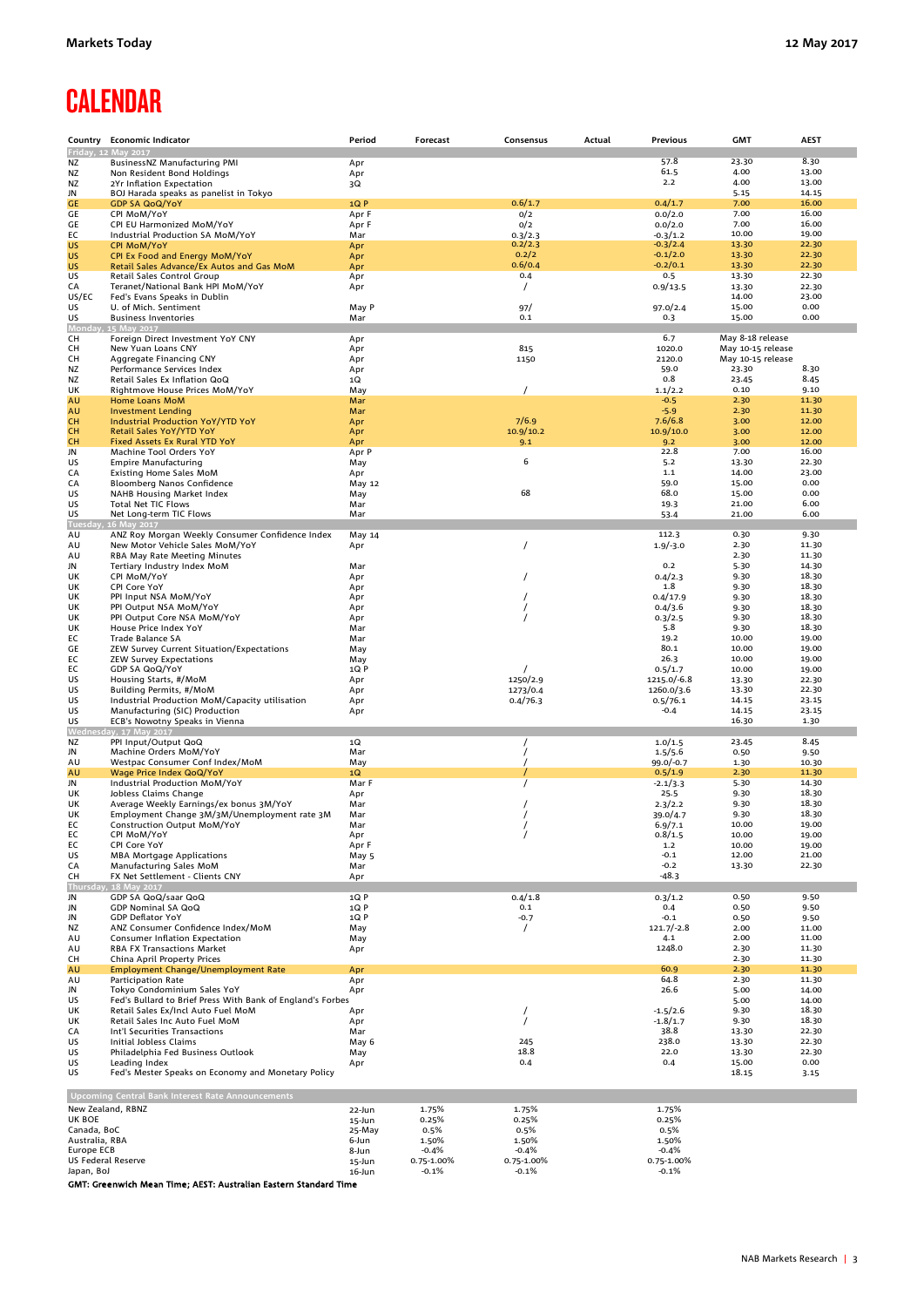# **CALENDAR**

|                                  | Country Economic Indicator                                                       | Period            | Forecast              | Consensus             | Actual | Previous                 | <b>GMT</b>        | <b>AEST</b>    |
|----------------------------------|----------------------------------------------------------------------------------|-------------------|-----------------------|-----------------------|--------|--------------------------|-------------------|----------------|
|                                  | Friday, 12 May 2017                                                              |                   |                       |                       |        | 57.8                     | 23.30             | 8.30           |
| ΝZ<br>ΝZ                         | BusinessNZ Manufacturing PMI<br>Non Resident Bond Holdings                       | Apr<br>Apr        |                       |                       |        | 61.5                     | 4.00              | 13.00          |
| ΝZ                               | 2Yr Inflation Expectation                                                        | 3Q                |                       |                       |        | 2.2                      | 4.00              | 13.00          |
| JN                               | BOJ Harada speaks as panelist in Tokyo                                           |                   |                       |                       |        |                          | 5.15              | 14.15          |
| GE                               | <b>GDP SA QoQ/YoY</b>                                                            | 1QP               |                       | 0.6/1.7               |        | 0.4/1.7                  | 7.00              | 16.00          |
| GE<br>GE                         | CPI MoM/YoY<br>CPI EU Harmonized MoM/YoY                                         | Apr F<br>Apr F    |                       | 0/2<br>0/2            |        | 0.0/2.0<br>0.0/2.0       | 7.00<br>7.00      | 16.00<br>16.00 |
| EС                               | Industrial Production SA MoM/YoY                                                 | Mar               |                       | 0.3/2.3               |        | $-0.3/1.2$               | 10.00             | 19.00          |
| US                               | <b>CPI MoM/YoY</b>                                                               | Apr               |                       | 0.2/2.3               |        | $-0.3/2.4$               | 13.30             | 22.30          |
| <b>US</b>                        | CPI Ex Food and Energy MoM/YoY                                                   | Apr               |                       | 0.2/2                 |        | $-0.1/2.0$               | 13.30             | 22.30          |
| <b>US</b><br>US                  | Retail Sales Advance/Ex Autos and Gas MoM                                        | Apr               |                       | 0.6/0.4<br>0.4        |        | $-0.2/0.1$<br>0.5        | 13.30<br>13.30    | 22.30<br>22.30 |
| CA                               | Retail Sales Control Group<br>Teranet/National Bank HPI MoM/YoY                  | Apr<br>Apr        |                       |                       |        | 0.9/13.5                 | 13.30             | 22.30          |
| US/EC                            | Fed's Evans Speaks in Dublin                                                     |                   |                       |                       |        |                          | 14.00             | 23.00          |
| US                               | U. of Mich. Sentiment                                                            | May P             |                       | 97/                   |        | 97.0/2.4                 | 15.00             | 0.00           |
| US                               | <b>Business Inventories</b>                                                      | Mar               |                       | 0.1                   |        | 0.3                      | 15.00             | 0.00           |
| <b>Monday</b><br>CН              | 15 May 2017<br>Foreign Direct Investment YoY CNY                                 | Apr               |                       |                       |        | 6.7                      | May 8-18 release  |                |
| CН                               | New Yuan Loans CNY                                                               | Apr               |                       | 815                   |        | 1020.0                   | May 10-15 release |                |
| CН                               | Aggregate Financing CNY                                                          | Apr               |                       | 1150                  |        | 2120.0                   | May 10-15 release |                |
| ΝZ                               | Performance Services Index                                                       | Apr               |                       |                       |        | 59.0                     | 23.30             | 8.30           |
| ΝZ                               | Retail Sales Ex Inflation QoQ                                                    | 1Q                |                       |                       |        | 0.8                      | 23.45             | 8.45           |
| UK<br>AU                         | Rightmove House Prices MoM/YoY<br>Home Loans MoM                                 | May<br>Mar        |                       |                       |        | 1.1/2.2<br>$-0.5$        | 0.10<br>2.30      | 9.10<br>11.30  |
| AU                               | <b>Investment Lending</b>                                                        | Mar               |                       |                       |        | $-5.9$                   | 2.30              | 11.30          |
| <b>CH</b>                        | Industrial Production YoY/YTD YoY                                                | Apr               |                       | 7/6.9                 |        | 7.6/6.8                  | 3.00              | 12.00          |
| CH                               | Retail Sales YoY/YTD YoY                                                         | Apr               |                       | 10.9/10.2             |        | 10.9/10.0                | 3.00              | 12.00          |
| <b>CH</b>                        | Fixed Assets Ex Rural YTD YoY                                                    | Apr               |                       | 9.1                   |        | 9.2<br>22.8              | 3.00              | 12.00          |
| JN<br>US                         | Machine Tool Orders YoY<br><b>Empire Manufacturing</b>                           | Apr P<br>May      |                       | 6                     |        | 5.2                      | 7.00<br>13.30     | 16.00<br>22.30 |
| CA                               | <b>Existing Home Sales MoM</b>                                                   | Apr               |                       |                       |        | 1.1                      | 14.00             | 23.00          |
| CA                               | Bloomberg Nanos Confidence                                                       | May 12            |                       |                       |        | 59.0                     | 15.00             | 0.00           |
| US                               | NAHB Housing Market Index                                                        | May               |                       | 68                    |        | 68.0                     | 15.00             | 0.00           |
| US                               | Total Net TIC Flows                                                              | Mar               |                       |                       |        | 19.3                     | 21.00             | 6.00           |
| US<br>Tuesday                    | Net Long-term TIC Flows<br>16 May 2017                                           | Mar               |                       |                       |        | 53.4                     | 21.00             | 6.00           |
| AU                               | ANZ Roy Morgan Weekly Consumer Confidence Index                                  | May 14            |                       |                       |        | 112.3                    | 0.30              | 9.30           |
| AU                               | New Motor Vehicle Sales MoM/YoY                                                  | Apr               |                       | $\prime$              |        | $1.9/-3.0$               | 2.30              | 11.30          |
| AU                               | RBA May Rate Meeting Minutes                                                     |                   |                       |                       |        |                          | 2.30              | 11.30          |
| JN<br>UK                         | Tertiary Industry Index MoM<br>CPI MoM/YoY                                       | Mar               |                       |                       |        | 0.2<br>0.4/2.3           | 5.30              | 14.30<br>18.30 |
| UK                               | CPI Core YoY                                                                     | Apr<br>Apr        |                       |                       |        | 1.8                      | 9.30<br>9.30      | 18.30          |
| UK                               | PPI Input NSA MoM/YoY                                                            | Apr               |                       |                       |        | 0.4/17.9                 | 9.30              | 18.30          |
| UK                               | PPI Output NSA MoM/YoY                                                           | Apr               |                       |                       |        | 0.4/3.6                  | 9.30              | 18.30          |
| UK                               | PPI Output Core NSA MoM/YoY                                                      | Apr               |                       |                       |        | 0.3/2.5                  | 9.30              | 18.30          |
| UK                               | House Price Index YoY                                                            | Mar               |                       |                       |        | 5.8<br>19.2              | 9.30<br>10.00     | 18.30<br>19.00 |
| ЕC<br>GE                         | Trade Balance SA<br>ZEW Survey Current Situation/Expectations                    | Mar<br>May        |                       |                       |        | 80.1                     | 10.00             | 19.00          |
| EС                               | <b>ZEW Survey Expectations</b>                                                   | May               |                       |                       |        | 26.3                     | 10.00             | 19.00          |
| EС                               | GDP SA QoQ/YoY                                                                   | 1QP               |                       |                       |        | 0.5/1.7                  | 10.00             | 19.00          |
| US                               | Housing Starts, #/MoM                                                            | Apr               |                       | 1250/2.9              |        | 1215.0/-6.8              | 13.30             | 22.30          |
| US                               | Building Permits, #/MoM                                                          | Apr               |                       | 1273/0.4              |        | 1260.0/3.6               | 13.30             | 22.30          |
| US<br>US                         | Industrial Production MoM/Capacity utilisation<br>Manufacturing (SIC) Production | Apr<br>Apr        |                       | 0.4/76.3              |        | 0.5/76.1<br>$-0.4$       | 14.15<br>14.15    | 23.15<br>23.15 |
| US                               | ECB's Nowotny Speaks in Vienna                                                   |                   |                       |                       |        |                          | 16.30             | 1.30           |
| Wedneso                          | lay, 17 May 2017                                                                 |                   |                       |                       |        |                          |                   |                |
| ΝZ                               | PPI Input/Output QoQ                                                             | 1Q                |                       |                       |        | 1.0/1.5                  | 23.45             | 8.45           |
| JN                               | Machine Orders MoM/YoY                                                           | Mar               |                       |                       |        | 1.5/5.6                  | 0.50              | 9.50           |
| AU<br>AU                         | Westpac Consumer Conf Index/MoM<br><b>Wage Price Index QoQ/YoY</b>               | May<br>$1{\rm Q}$ |                       |                       |        | $99.0/-0.7$<br>0.5/1.9   | 1.30<br>2.30      | 10.30<br>11.30 |
| JN                               | Industrial Production MoM/YoY                                                    | Mar F             |                       |                       |        | $-2.1/3.3$               | 5.30              | 14.30          |
| UK                               | Jobless Claims Change                                                            | Apr               |                       |                       |        | 25.5                     | 9.30              | 18.30          |
| UK                               | Average Weekly Earnings/ex bonus 3M/YoY                                          | Mar               |                       |                       |        | 2.3/2.2                  | 9.30              | 18.30          |
| UK                               | Employment Change 3M/3M/Unemployment rate 3M                                     | Mar               |                       |                       |        | 39.0/4.7                 | 9.30<br>10.00     | 18.30          |
| ЕC<br>EC                         | Construction Output MoM/YoY<br>CPI MoM/YoY                                       | Mar<br>Apr        |                       |                       |        | 6.9/7.1<br>0.8/1.5       | 10.00             | 19.00<br>19.00 |
| ЕC                               | CPI Core YoY                                                                     | Apr F             |                       |                       |        | 1.2                      | 10.00             | 19.00          |
| US                               | <b>MBA Mortgage Applications</b>                                                 | May 5             |                       |                       |        | $-0.1$                   | 12.00             | 21.00          |
| CA                               | Manufacturing Sales MoM                                                          | Mar               |                       |                       |        | $-0.2$                   | 13.30             | 22.30          |
| CН<br>Thursday                   | FX Net Settlement - Clients CNY<br>, 18 May 2017                                 | Apr               |                       |                       |        | -48.3                    |                   |                |
| JN                               | GDP SA QoQ/saar QoQ                                                              | 1Q P              |                       | 0.4/1.8               |        | 0.3/1.2                  | 0.50              | 9.50           |
| JN                               | <b>GDP Nominal SA QoQ</b>                                                        | 1QP               |                       | 0.1                   |        | 0.4                      | 0.50              | 9.50           |
| JN                               | <b>GDP Deflator YoY</b>                                                          | 1QP               |                       | $-0.7$                |        | $-0.1$                   | 0.50              | 9.50           |
| ΝZ                               | ANZ Consumer Confidence Index/MoM                                                | May               |                       | $\prime$              |        | $121.7/-2.8$             | 2.00              | 11.00          |
| AU                               | <b>Consumer Inflation Expectation</b>                                            | May               |                       |                       |        | 4.1<br>1248.0            | 2.00              | 11.00          |
| AU<br>CН                         | <b>RBA FX Transactions Market</b><br>China April Property Prices                 | Apr               |                       |                       |        |                          | 2.30<br>2.30      | 11.30<br>11.30 |
| AU                               | Employment Change/Unemployment Rate                                              | Apr               |                       |                       |        | 60.9                     | 2.30              | 11.30          |
| AU                               | <b>Participation Rate</b>                                                        | Apr               |                       |                       |        | 64.8                     | 2.30              | 11.30          |
| JN                               | Tokyo Condominium Sales YoY                                                      | Apr               |                       |                       |        | 26.6                     | 5.00              | 14.00          |
| US                               | Fed's Bullard to Brief Press With Bank of England's Forbes                       |                   |                       |                       |        |                          | 5.00              | 14.00<br>18.30 |
| UK<br>UK                         | Retail Sales Ex/Incl Auto Fuel MoM<br>Retail Sales Inc Auto Fuel MoM             | Apr<br>Apr        |                       |                       |        | $-1.5/2.6$<br>$-1.8/1.7$ | 9.30<br>9.30      | 18.30          |
| CA                               | Int'l Securities Transactions                                                    | Mar               |                       |                       |        | 38.8                     | 13.30             | 22.30          |
| US                               | Initial Jobless Claims                                                           | May 6             |                       | 245                   |        | 238.0                    | 13.30             | 22.30          |
| US                               | Philadelphia Fed Business Outlook                                                | May               |                       | 18.8                  |        | 22.0                     | 13.30             | 22.30          |
| US                               | Leading Index                                                                    | Apr               |                       | 0.4                   |        | 0.4                      | 15.00             | 0.00           |
| US                               | Fed's Mester Speaks on Economy and Monetary Policy                               |                   |                       |                       |        |                          | 18.15             | 3.15           |
|                                  | <b>Upcoming Central Bank Interest Rate Announcements</b>                         |                   |                       |                       |        |                          |                   |                |
| New Zealand, RBNZ                |                                                                                  | 22-Jun            | 1.75%                 | 1.75%                 |        | 1.75%                    |                   |                |
| UK BOE                           |                                                                                  | 15-Jun            | 0.25%                 | 0.25%                 |        | 0.25%                    |                   |                |
| Canada, BoC                      |                                                                                  | 25-May            | 0.5%                  | 0.5%                  |        | 0.5%                     |                   |                |
| Australia, RBA                   |                                                                                  | 6-Jun             | 1.50%                 | 1.50%                 |        | 1.50%                    |                   |                |
| Europe ECB                       |                                                                                  | 8-Jun             | $-0.4%$               | $-0.4%$               |        | $-0.4%$                  |                   |                |
| US Federal Reserve<br>Japan, BoJ |                                                                                  | 15-Jun<br>16-Jun  | 0.75-1.00%<br>$-0.1%$ | 0.75-1.00%<br>$-0.1%$ |        | 0.75-1.00%<br>$-0.1%$    |                   |                |
|                                  |                                                                                  |                   |                       |                       |        |                          |                   |                |

GMT: Greenwich Mean Time; AEST: Australian Eastern Standard Time